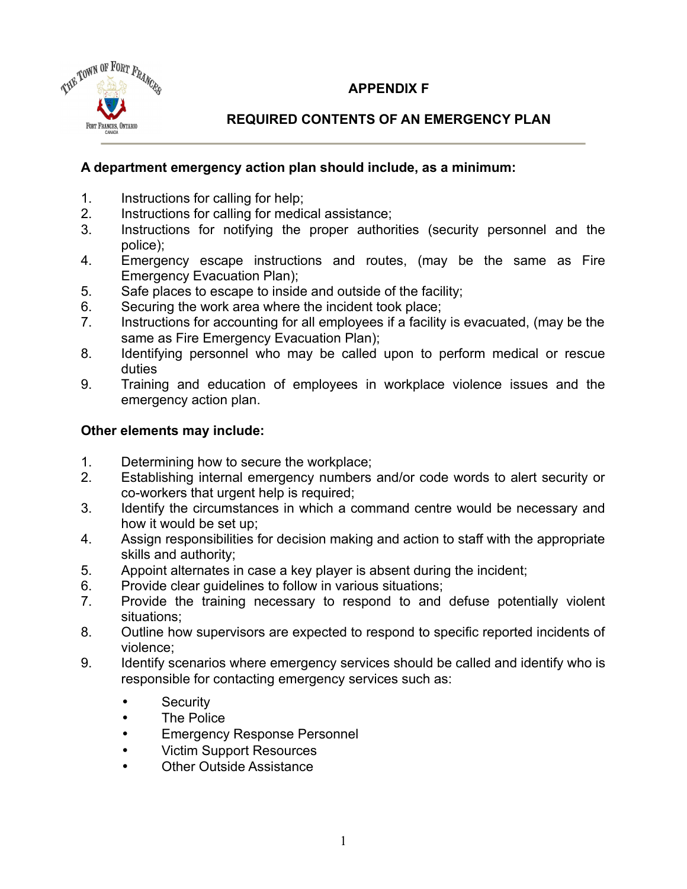## **APPENDIX F**



## **REQUIRED CONTENTS OF AN EMERGENCY PLAN**

## **A department emergency action plan should include, as a minimum:**

- 1. Instructions for calling for help;
- 2. Instructions for calling for medical assistance;
- 3. Instructions for notifying the proper authorities (security personnel and the police);
- 4. Emergency escape instructions and routes, (may be the same as Fire Emergency Evacuation Plan);
- 5. Safe places to escape to inside and outside of the facility;
- 6. Securing the work area where the incident took place;
- 7. Instructions for accounting for all employees if a facility is evacuated, (may be the same as Fire Emergency Evacuation Plan);
- 8. Identifying personnel who may be called upon to perform medical or rescue duties
- 9. Training and education of employees in workplace violence issues and the emergency action plan.

## **Other elements may include:**

- 1. Determining how to secure the workplace;
- 2. Establishing internal emergency numbers and/or code words to alert security or co-workers that urgent help is required;
- 3. Identify the circumstances in which a command centre would be necessary and how it would be set up;
- 4. Assign responsibilities for decision making and action to staff with the appropriate skills and authority;
- 5. Appoint alternates in case a key player is absent during the incident;
- 6. Provide clear guidelines to follow in various situations;
- 7. Provide the training necessary to respond to and defuse potentially violent situations;
- 8. Outline how supervisors are expected to respond to specific reported incidents of violence;
- 9. Identify scenarios where emergency services should be called and identify who is responsible for contacting emergency services such as:
	- Security
	- The Police
	- Emergency Response Personnel
	- Victim Support Resources
	- **Other Outside Assistance**